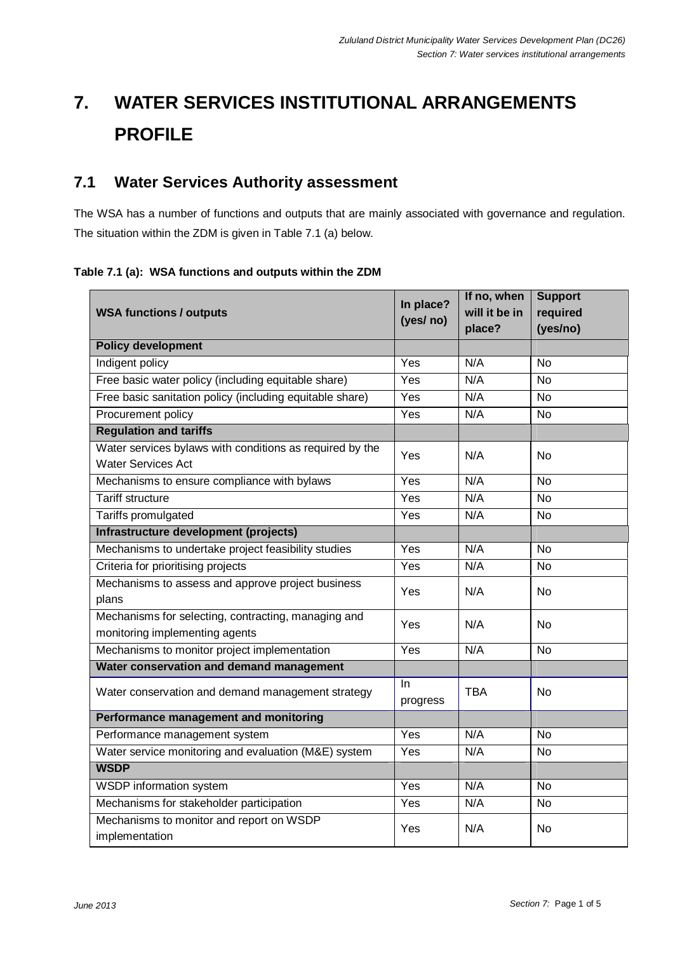# **7. WATER SERVICES INSTITUTIONAL ARRANGEMENTS PROFILE**

## **7.1 Water Services Authority assessment**

The WSA has a number of functions and outputs that are mainly associated with governance and regulation. The situation within the ZDM is given in Table 7.1 (a) below.

#### **Table 7.1 (a): WSA functions and outputs within the ZDM**

|                                                            | In place?       | If no, when   | <b>Support</b> |
|------------------------------------------------------------|-----------------|---------------|----------------|
| <b>WSA functions / outputs</b>                             |                 | will it be in | required       |
|                                                            | (yes/ no)       | place?        | (yes/no)       |
| <b>Policy development</b>                                  |                 |               |                |
| Indigent policy                                            | Yes             | N/A           | <b>No</b>      |
| Free basic water policy (including equitable share)        | Yes             | N/A           | <b>No</b>      |
| Free basic sanitation policy (including equitable share)   | Yes             | N/A           | $\overline{N}$ |
| Procurement policy                                         | Yes             | N/A           | <b>No</b>      |
| <b>Regulation and tariffs</b>                              |                 |               |                |
| Water services bylaws with conditions as required by the   | Yes             | N/A           | <b>No</b>      |
| <b>Water Services Act</b>                                  |                 |               |                |
| Mechanisms to ensure compliance with bylaws                | Yes             | N/A           | $\overline{N}$ |
| <b>Tariff structure</b>                                    | Yes             | N/A           | <b>No</b>      |
| Tariffs promulgated                                        | Yes             | N/A           | <b>No</b>      |
| Infrastructure development (projects)                      |                 |               |                |
| Mechanisms to undertake project feasibility studies        | Yes             | N/A           | $\overline{N}$ |
| Criteria for prioritising projects                         | Yes             | N/A           | No             |
| Mechanisms to assess and approve project business          | Yes             | N/A           | <b>No</b>      |
| plans                                                      |                 |               |                |
| Mechanisms for selecting, contracting, managing and        | Yes             | N/A           | <b>No</b>      |
| monitoring implementing agents                             |                 |               |                |
| N/A<br>Mechanisms to monitor project implementation<br>Yes |                 |               | $\overline{N}$ |
| Water conservation and demand management                   |                 |               |                |
| Water conservation and demand management strategy          | In.<br>progress | <b>TBA</b>    | <b>No</b>      |
| Performance management and monitoring                      |                 |               |                |
| Performance management system                              | Yes             | N/A           | <b>No</b>      |
| Water service monitoring and evaluation (M&E) system       | Yes             | N/A           | <b>No</b>      |
| <b>WSDP</b>                                                |                 |               |                |
| WSDP information system                                    | Yes             | N/A           | <b>No</b>      |
| Mechanisms for stakeholder participation                   | Yes             | N/A           | <b>No</b>      |
| Mechanisms to monitor and report on WSDP                   |                 | N/A           | <b>No</b>      |
| implementation                                             | Yes             |               |                |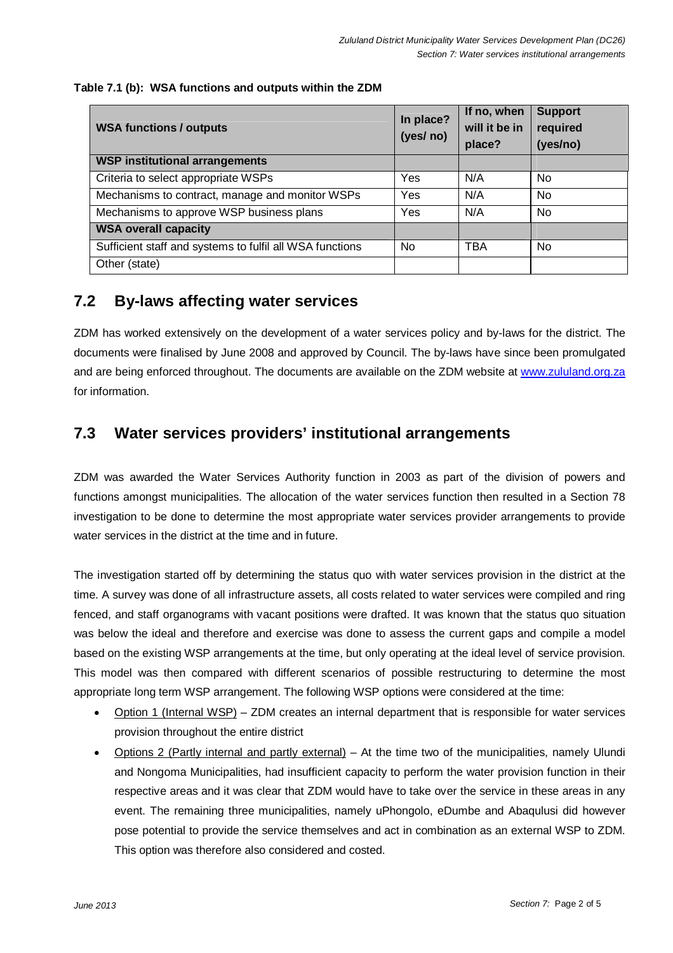#### **Table 7.1 (b): WSA functions and outputs within the ZDM**

| <b>WSA functions / outputs</b>                           | In place?<br>(yes/ no) | If no, when<br>will it be in<br>place? | <b>Support</b><br>required<br>(yes/no) |
|----------------------------------------------------------|------------------------|----------------------------------------|----------------------------------------|
| <b>WSP institutional arrangements</b>                    |                        |                                        |                                        |
| Criteria to select appropriate WSPs                      | Yes                    | N/A                                    | No.                                    |
| Mechanisms to contract, manage and monitor WSPs          | Yes                    | N/A                                    | <b>No</b>                              |
| Mechanisms to approve WSP business plans                 | Yes                    | N/A                                    | No.                                    |
| <b>WSA overall capacity</b>                              |                        |                                        |                                        |
| Sufficient staff and systems to fulfil all WSA functions | N <sub>0</sub>         | TBA                                    | No.                                    |
| Other (state)                                            |                        |                                        |                                        |

## **7.2 By-laws affecting water services**

ZDM has worked extensively on the development of a water services policy and by-laws for the district. The documents were finalised by June 2008 and approved by Council. The by-laws have since been promulgated and are being enforced throughout. The documents are available on the ZDM website at www.zululand.org.za for information.

### **7.3 Water services providers' institutional arrangements**

ZDM was awarded the Water Services Authority function in 2003 as part of the division of powers and functions amongst municipalities. The allocation of the water services function then resulted in a Section 78 investigation to be done to determine the most appropriate water services provider arrangements to provide water services in the district at the time and in future.

The investigation started off by determining the status quo with water services provision in the district at the time. A survey was done of all infrastructure assets, all costs related to water services were compiled and ring fenced, and staff organograms with vacant positions were drafted. It was known that the status quo situation was below the ideal and therefore and exercise was done to assess the current gaps and compile a model based on the existing WSP arrangements at the time, but only operating at the ideal level of service provision. This model was then compared with different scenarios of possible restructuring to determine the most appropriate long term WSP arrangement. The following WSP options were considered at the time:

- Option 1 (Internal WSP) ZDM creates an internal department that is responsible for water services provision throughout the entire district
- Options 2 (Partly internal and partly external) At the time two of the municipalities, namely Ulundi and Nongoma Municipalities, had insufficient capacity to perform the water provision function in their respective areas and it was clear that ZDM would have to take over the service in these areas in any event. The remaining three municipalities, namely uPhongolo, eDumbe and Abaqulusi did however pose potential to provide the service themselves and act in combination as an external WSP to ZDM. This option was therefore also considered and costed.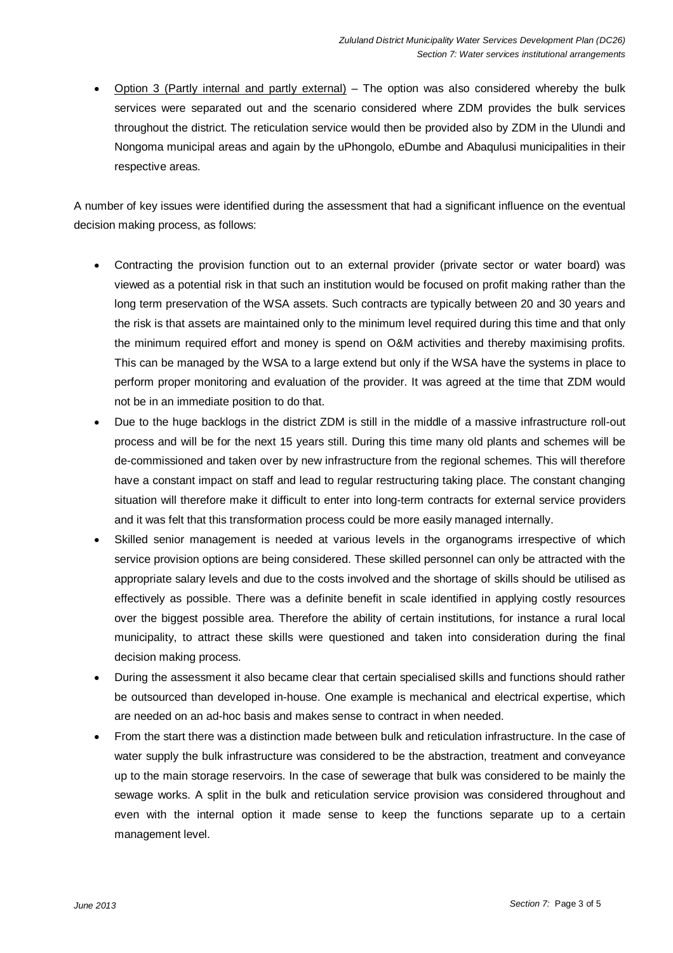• Option 3 (Partly internal and partly external) – The option was also considered whereby the bulk services were separated out and the scenario considered where ZDM provides the bulk services throughout the district. The reticulation service would then be provided also by ZDM in the Ulundi and Nongoma municipal areas and again by the uPhongolo, eDumbe and Abaqulusi municipalities in their respective areas.

A number of key issues were identified during the assessment that had a significant influence on the eventual decision making process, as follows:

- Contracting the provision function out to an external provider (private sector or water board) was viewed as a potential risk in that such an institution would be focused on profit making rather than the long term preservation of the WSA assets. Such contracts are typically between 20 and 30 years and the risk is that assets are maintained only to the minimum level required during this time and that only the minimum required effort and money is spend on O&M activities and thereby maximising profits. This can be managed by the WSA to a large extend but only if the WSA have the systems in place to perform proper monitoring and evaluation of the provider. It was agreed at the time that ZDM would not be in an immediate position to do that.
- Due to the huge backlogs in the district ZDM is still in the middle of a massive infrastructure roll-out process and will be for the next 15 years still. During this time many old plants and schemes will be de-commissioned and taken over by new infrastructure from the regional schemes. This will therefore have a constant impact on staff and lead to regular restructuring taking place. The constant changing situation will therefore make it difficult to enter into long-term contracts for external service providers and it was felt that this transformation process could be more easily managed internally.
- Skilled senior management is needed at various levels in the organograms irrespective of which service provision options are being considered. These skilled personnel can only be attracted with the appropriate salary levels and due to the costs involved and the shortage of skills should be utilised as effectively as possible. There was a definite benefit in scale identified in applying costly resources over the biggest possible area. Therefore the ability of certain institutions, for instance a rural local municipality, to attract these skills were questioned and taken into consideration during the final decision making process.
- During the assessment it also became clear that certain specialised skills and functions should rather be outsourced than developed in-house. One example is mechanical and electrical expertise, which are needed on an ad-hoc basis and makes sense to contract in when needed.
- From the start there was a distinction made between bulk and reticulation infrastructure. In the case of water supply the bulk infrastructure was considered to be the abstraction, treatment and conveyance up to the main storage reservoirs. In the case of sewerage that bulk was considered to be mainly the sewage works. A split in the bulk and reticulation service provision was considered throughout and even with the internal option it made sense to keep the functions separate up to a certain management level.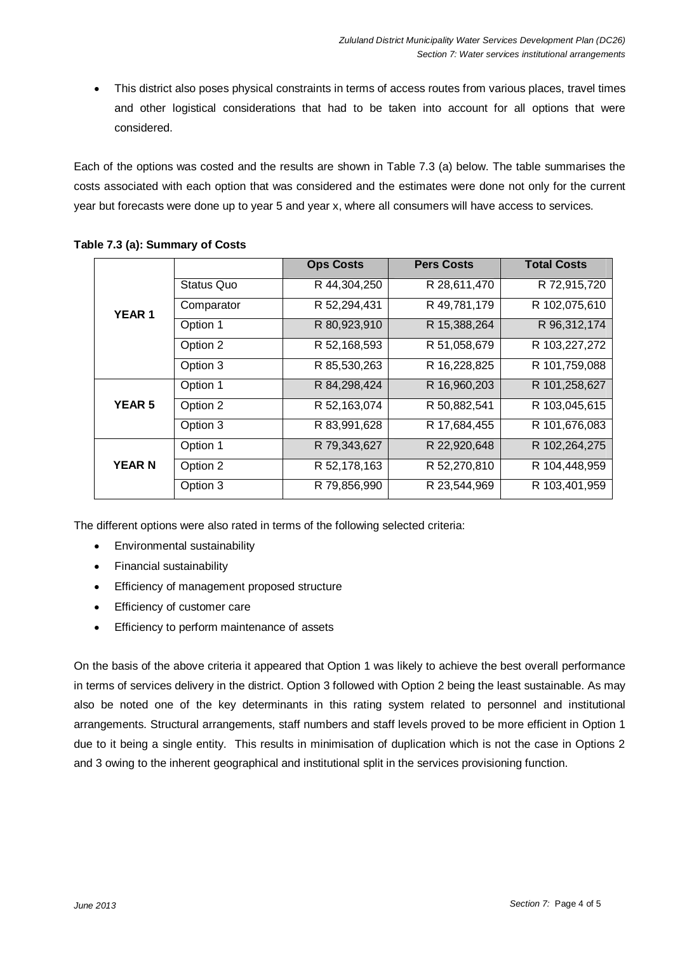• This district also poses physical constraints in terms of access routes from various places, travel times and other logistical considerations that had to be taken into account for all options that were considered.

Each of the options was costed and the results are shown in Table 7.3 (a) below. The table summarises the costs associated with each option that was considered and the estimates were done not only for the current year but forecasts were done up to year 5 and year x, where all consumers will have access to services.

|               |            | <b>Ops Costs</b> | <b>Pers Costs</b> | <b>Total Costs</b> |
|---------------|------------|------------------|-------------------|--------------------|
| <b>YEAR 1</b> | Status Quo | R 44,304,250     | R 28,611,470      | R 72,915,720       |
|               | Comparator | R 52,294,431     | R 49,781,179      | R 102,075,610      |
|               | Option 1   | R 80,923,910     | R 15,388,264      | R 96,312,174       |
|               | Option 2   | R 52,168,593     | R 51,058,679      | R 103,227,272      |
|               | Option 3   | R 85,530,263     | R 16,228,825      | R 101,759,088      |
|               | Option 1   | R 84,298,424     | R 16,960,203      | R 101,258,627      |
| <b>YEAR 5</b> | Option 2   | R 52,163,074     | R 50,882,541      | R 103,045,615      |
|               | Option 3   | R 83,991,628     | R 17,684,455      | R 101,676,083      |
|               | Option 1   | R 79,343,627     | R 22,920,648      | R 102,264,275      |
| <b>YEAR N</b> | Option 2   | R 52,178,163     | R 52,270,810      | R 104,448,959      |
|               | Option 3   | R 79,856,990     | R 23,544,969      | R 103,401,959      |

#### **Table 7.3 (a): Summary of Costs**

The different options were also rated in terms of the following selected criteria:

- Environmental sustainability
- Financial sustainability
- Efficiency of management proposed structure
- Efficiency of customer care
- Efficiency to perform maintenance of assets

On the basis of the above criteria it appeared that Option 1 was likely to achieve the best overall performance in terms of services delivery in the district. Option 3 followed with Option 2 being the least sustainable. As may also be noted one of the key determinants in this rating system related to personnel and institutional arrangements. Structural arrangements, staff numbers and staff levels proved to be more efficient in Option 1 due to it being a single entity. This results in minimisation of duplication which is not the case in Options 2 and 3 owing to the inherent geographical and institutional split in the services provisioning function.